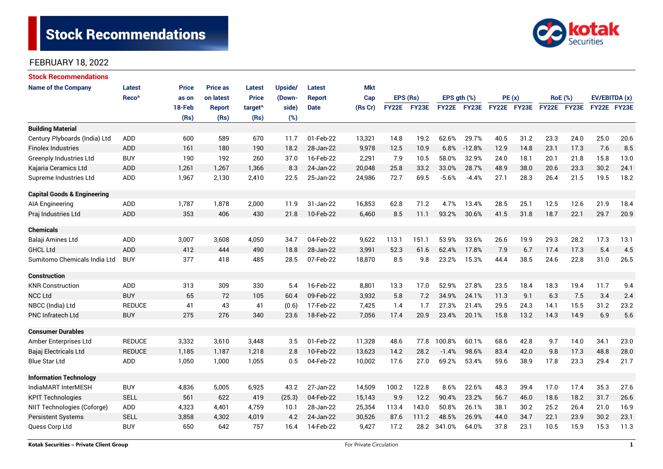

| <b>Stock Recommendations</b>           |                   |              |                 |                     |                |               |            |              |              |                  |             |             |      |                |             |               |      |
|----------------------------------------|-------------------|--------------|-----------------|---------------------|----------------|---------------|------------|--------------|--------------|------------------|-------------|-------------|------|----------------|-------------|---------------|------|
| <b>Name of the Company</b>             | <b>Latest</b>     | <b>Price</b> | <b>Price as</b> | <b>Latest</b>       | <b>Upside/</b> | Latest        | <b>Mkt</b> |              |              |                  |             |             |      |                |             |               |      |
|                                        | Reco <sup>^</sup> | as on        | on latest       | <b>Price</b>        | (Down-         | <b>Report</b> | Cap        | EPS (Rs)     |              | EPS $gth$ $(\%)$ |             | PE(x)       |      | <b>RoE</b> (%) |             | EV/EBITDA (x) |      |
|                                        |                   | 18-Feb       | <b>Report</b>   | target <sup>^</sup> | side)          | <b>Date</b>   | (Rs Cr)    | <b>FY22E</b> | <b>FY23E</b> |                  | FY22E FY23E | FY22E FY23E |      |                | FY22E FY23E | FY22E FY23E   |      |
|                                        |                   | (Rs)         | (Rs)            | (Rs)                | (%)            |               |            |              |              |                  |             |             |      |                |             |               |      |
| <b>Building Material</b>               |                   |              |                 |                     |                |               |            |              |              |                  |             |             |      |                |             |               |      |
| Century Plyboards (India) Ltd          | <b>ADD</b>        | 600          | 589             | 670                 | 11.7           | 01-Feb-22     | 13,321     | 14.8         | 19.2         | 62.6%            | 29.7%       | 40.5        | 31.2 | 23.3           | 24.0        | 25.0          | 20.6 |
| <b>Finolex Industries</b>              | <b>ADD</b>        | 161          | 180             | 190                 | 18.2           | 28-Jan-22     | 9,978      | 12.5         | 10.9         | 6.8%             | $-12.8%$    | 12.9        | 14.8 | 23.1           | 17.3        | 7.6           | 8.5  |
| <b>Greenply Industries Ltd</b>         | <b>BUY</b>        | 190          | 192             | 260                 | 37.0           | 16-Feb-22     | 2,291      | 7.9          | 10.5         | 58.0%            | 32.9%       | 24.0        | 18.1 | 20.1           | 21.8        | 15.8          | 13.0 |
| Kajaria Ceramics Ltd                   | <b>ADD</b>        | 1,261        | 1,267           | 1,366               | 8.3            | 24-Jan-22     | 20,048     | 25.8         | 33.2         | 33.0%            | 28.7%       | 48.9        | 38.0 | 20.6           | 23.3        | 30.2          | 24.1 |
| Supreme Industries Ltd                 | ADD               | 1,967        | 2,130           | 2,410               | 22.5           | 25-Jan-22     | 24,986     | 72.7         | 69.5         | $-5.6%$          | $-4.4%$     | 27.1        | 28.3 | 26.4           | 21.5        | 19.5          | 18.2 |
| <b>Capital Goods &amp; Engineering</b> |                   |              |                 |                     |                |               |            |              |              |                  |             |             |      |                |             |               |      |
| AIA Engineering                        | ADD               | 1,787        | 1,878           | 2,000               | 11.9           | 31-Jan-22     | 16,853     | 62.8         | 71.2         | 4.7%             | 13.4%       | 28.5        | 25.1 | 12.5           | 12.6        | 21.9          | 18.4 |
| Praj Industries Ltd                    | <b>ADD</b>        | 353          | 406             | 430                 | 21.8           | 10-Feb-22     | 6,460      | 8.5          | 11.1         | 93.2%            | 30.6%       | 41.5        | 31.8 | 18.7           | 22.1        | 29.7          | 20.9 |
| <b>Chemicals</b>                       |                   |              |                 |                     |                |               |            |              |              |                  |             |             |      |                |             |               |      |
| Balaji Amines Ltd                      | ADD               | 3,007        | 3,608           | 4,050               | 34.7           | 04-Feb-22     | 9,622      | 113.1        | 151.1        | 53.9%            | 33.6%       | 26.6        | 19.9 | 29.3           | 28.2        | 17.3          | 13.1 |
| <b>GHCL Ltd</b>                        | <b>ADD</b>        | 412          | 444             | 490                 | 18.8           | 28-Jan-22     | 3,991      | 52.3         | 61.6         | 62.4%            | 17.8%       | 7.9         | 6.7  | 17.4           | 17.3        | 5.4           | 4.5  |
| Sumitomo Chemicals India Ltd           | <b>BUY</b>        | 377          | 418             | 485                 | 28.5           | 07-Feb-22     | 18,870     | 8.5          | 9.8          | 23.2%            | 15.3%       | 44.4        | 38.5 | 24.6           | 22.8        | 31.0          | 26.5 |
| <b>Construction</b>                    |                   |              |                 |                     |                |               |            |              |              |                  |             |             |      |                |             |               |      |
| <b>KNR Construction</b>                | ADD               | 313          | 309             | 330                 | 5.4            | 16-Feb-22     | 8,801      | 13.3         | 17.0         | 52.9%            | 27.8%       | 23.5        | 18.4 | 18.3           | 19.4        | 11.7          | 9.4  |
| <b>NCC Ltd</b>                         | <b>BUY</b>        | 65           | 72              | 105                 | 60.4           | 09-Feb-22     | 3,932      | 5.8          | 7.2          | 34.9%            | 24.1%       | 11.3        | 9.1  | 6.3            | 7.5         | 3.4           | 2.4  |
| NBCC (India) Ltd                       | <b>REDUCE</b>     | 41           | 43              | 41                  | (0.6)          | 17-Feb-22     | 7,425      | 1.4          | 1.7          | 27.3%            | 21.4%       | 29.5        | 24.3 | 14.1           | 15.5        | 31.2          | 23.2 |
| <b>PNC Infratech Ltd</b>               | <b>BUY</b>        | 275          | 276             | 340                 | 23.6           | 18-Feb-22     | 7,056      | 17.4         | 20.9         | 23.4%            | 20.1%       | 15.8        | 13.2 | 14.3           | 14.9        | 6.9           | 5.6  |
| <b>Consumer Durables</b>               |                   |              |                 |                     |                |               |            |              |              |                  |             |             |      |                |             |               |      |
| Amber Enterprises Ltd                  | <b>REDUCE</b>     | 3,332        | 3,610           | 3,448               | 3.5            | 01-Feb-22     | 11,328     | 48.6         | 77.8         | 100.8%           | 60.1%       | 68.6        | 42.8 | 9.7            | 14.0        | 34.1          | 23.0 |
| Bajaj Electricals Ltd                  | <b>REDUCE</b>     | 1,185        | 1,187           | 1,218               | 2.8            | 10-Feb-22     | 13,623     | 14.2         | 28.2         | $-1.4%$          | 98.6%       | 83.4        | 42.0 | 9.8            | 17.3        | 48.8          | 28.0 |
| <b>Blue Star Ltd</b>                   | <b>ADD</b>        | 1,050        | 1.000           | 1,055               | 0.5            | 04-Feb-22     | 10,002     | 17.6         | 27.0         | 69.2%            | 53.4%       | 59.6        | 38.9 | 17.8           | 23.3        | 29.4          | 21.7 |
| <b>Information Technology</b>          |                   |              |                 |                     |                |               |            |              |              |                  |             |             |      |                |             |               |      |
| IndiaMART InterMESH                    | <b>BUY</b>        | 4,836        | 5,005           | 6,925               | 43.2           | 27-Jan-22     | 14,509     | 100.2        | 122.8        | 8.6%             | 22.6%       | 48.3        | 39.4 | 17.0           | 17.4        | 35.3          | 27.6 |
| <b>KPIT Technologies</b>               | <b>SELL</b>       | 561          | 622             | 419                 | (25.3)         | 04-Feb-22     | 15,143     | 9.9          | 12.2         | 90.4%            | 23.2%       | 56.7        | 46.0 | 18.6           | 18.2        | 31.7          | 26.6 |
| NIIT Technologies (Coforge)            | ADD               | 4,323        | 4,401           | 4,759               | 10.1           | 28-Jan-22     | 25,354     | 113.4        | 143.0        | 50.8%            | 26.1%       | 38.1        | 30.2 | 25.2           | 26.4        | 21.0          | 16.9 |
| Persistent Systems                     | <b>SELL</b>       | 3,858        | 4,302           | 4,019               | 4.2            | 24-Jan-22     | 30,526     | 87.6         | 111.2        | 48.5%            | 26.9%       | 44.0        | 34.7 | 22.1           | 23.9        | 30.2          | 23.1 |
| Quess Corp Ltd                         | <b>BUY</b>        | 650          | 642             | 757                 | 16.4           | 14-Feb-22     | 9,427      | 17.2         | 28.2         | 341.0%           | 64.0%       | 37.8        | 23.1 | 10.5           | 15.9        | 15.3          | 11.3 |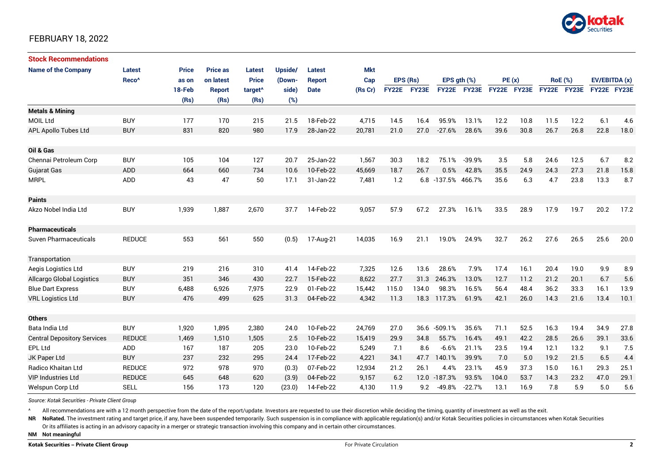

| <b>Stock Recommendations</b>       |                   |              |                 |                     |         |               |         |             |       |                  |             |             |      |                |      |               |      |
|------------------------------------|-------------------|--------------|-----------------|---------------------|---------|---------------|---------|-------------|-------|------------------|-------------|-------------|------|----------------|------|---------------|------|
| <b>Name of the Company</b>         | <b>Latest</b>     | <b>Price</b> | <b>Price as</b> | Latest              | Upside/ | Latest        | Mkt     |             |       |                  |             |             |      |                |      |               |      |
|                                    | Reco <sup>^</sup> | as on        | on latest       | <b>Price</b>        | (Down-  | <b>Report</b> | Cap     | EPS (Rs)    |       | EPS $qth$ $(\%)$ |             | PE(x)       |      | <b>RoE</b> (%) |      | EV/EBITDA (x) |      |
|                                    |                   | 18-Feb       | <b>Report</b>   | target <sup>^</sup> | side)   | <b>Date</b>   | (Rs Cr) | FY22E FY23E |       |                  | FY22E FY23E | FY22E FY23E |      | FY22E FY23E    |      | FY22E FY23E   |      |
|                                    |                   | (Rs)         | (Rs)            | (Rs)                | (%)     |               |         |             |       |                  |             |             |      |                |      |               |      |
| <b>Metals &amp; Mining</b>         |                   |              |                 |                     |         |               |         |             |       |                  |             |             |      |                |      |               |      |
| <b>MOIL Ltd</b>                    | <b>BUY</b>        | 177          | 170             | 215                 | 21.5    | 18-Feb-22     | 4,715   | 14.5        | 16.4  | 95.9%            | 13.1%       | 12.2        | 10.8 | 11.5           | 12.2 | 6.1           | 4.6  |
| APL Apollo Tubes Ltd               | <b>BUY</b>        | 831          | 820             | 980                 | 17.9    | 28-Jan-22     | 20,781  | 21.0        | 27.0  | $-27.6%$         | 28.6%       | 39.6        | 30.8 | 26.7           | 26.8 | 22.8          | 18.0 |
| Oil & Gas                          |                   |              |                 |                     |         |               |         |             |       |                  |             |             |      |                |      |               |      |
| Chennai Petroleum Corp             | <b>BUY</b>        | 105          | 104             | 127                 | 20.7    | 25-Jan-22     | 1,567   | 30.3        | 18.2  | 75.1%            | $-39.9%$    | 3.5         | 5.8  | 24.6           | 12.5 | 6.7           | 8.2  |
| <b>Gujarat Gas</b>                 | <b>ADD</b>        | 664          | 660             | 734                 | 10.6    | 10-Feb-22     | 45,669  | 18.7        | 26.7  | 0.5%             | 42.8%       | 35.5        | 24.9 | 24.3           | 27.3 | 21.8          | 15.8 |
| <b>MRPL</b>                        | <b>ADD</b>        | 43           | 47              | 50                  | 17.1    | 31-Jan-22     | 7,481   | 1.2         |       | 6.8 -137.5%      | 466.7%      | 35.6        | 6.3  | 4.7            | 23.8 | 13.3          | 8.7  |
| <b>Paints</b>                      |                   |              |                 |                     |         |               |         |             |       |                  |             |             |      |                |      |               |      |
| Akzo Nobel India Ltd               | <b>BUY</b>        | 1,939        | 1,887           | 2,670               | 37.7    | 14-Feb-22     | 9,057   | 57.9        | 67.2  | 27.3%            | 16.1%       | 33.5        | 28.9 | 17.9           | 19.7 | 20.2          | 17.2 |
| <b>Pharmaceuticals</b>             |                   |              |                 |                     |         |               |         |             |       |                  |             |             |      |                |      |               |      |
| <b>Suven Pharmaceuticals</b>       | <b>REDUCE</b>     | 553          | 561             | 550                 | (0.5)   | 17-Aug-21     | 14,035  | 16.9        | 21.1  | 19.0%            | 24.9%       | 32.7        | 26.2 | 27.6           | 26.5 | 25.6          | 20.0 |
| Transportation                     |                   |              |                 |                     |         |               |         |             |       |                  |             |             |      |                |      |               |      |
| Aegis Logistics Ltd                | <b>BUY</b>        | 219          | 216             | 310                 | 41.4    | 14-Feb-22     | 7,325   | 12.6        | 13.6  | 28.6%            | 7.9%        | 17.4        | 16.1 | 20.4           | 19.0 | 9.9           | 8.9  |
| <b>Allcargo Global Logistics</b>   | <b>BUY</b>        | 351          | 346             | 430                 | 22.7    | 15-Feb-22     | 8,622   | 27.7        | 31.3  | 246.3%           | 13.0%       | 12.7        | 11.2 | 21.2           | 20.1 | 6.7           | 5.6  |
| <b>Blue Dart Express</b>           | <b>BUY</b>        | 6,488        | 6,926           | 7,975               | 22.9    | 01-Feb-22     | 15,442  | 115.0       | 134.0 | 98.3%            | 16.5%       | 56.4        | 48.4 | 36.2           | 33.3 | 16.1          | 13.9 |
| <b>VRL Logistics Ltd</b>           | <b>BUY</b>        | 476          | 499             | 625                 | 31.3    | 04-Feb-22     | 4,342   | 11.3        |       | 18.3 117.3%      | 61.9%       | 42.1        | 26.0 | 14.3           | 21.6 | 13.4          | 10.1 |
| <b>Others</b>                      |                   |              |                 |                     |         |               |         |             |       |                  |             |             |      |                |      |               |      |
| Bata India Ltd                     | <b>BUY</b>        | 1,920        | 1,895           | 2,380               | 24.0    | 10-Feb-22     | 24,769  | 27.0        |       | 36.6 -509.1%     | 35.6%       | 71.1        | 52.5 | 16.3           | 19.4 | 34.9          | 27.8 |
| <b>Central Depository Services</b> | <b>REDUCE</b>     | 1.469        | 1.510           | 1,505               | 2.5     | 10-Feb-22     | 15,419  | 29.9        | 34.8  | 55.7%            | 16.4%       | 49.1        | 42.2 | 28.5           | 26.6 | 39.1          | 33.6 |
| EPL Ltd                            | <b>ADD</b>        | 167          | 187             | 205                 | 23.0    | 10-Feb-22     | 5,249   | 7.1         | 8.6   | $-6.6%$          | 21.1%       | 23.5        | 19.4 | 12.1           | 13.2 | 9.1           | 7.5  |
| JK Paper Ltd                       | <b>BUY</b>        | 237          | 232             | 295                 | 24.4    | 17-Feb-22     | 4,221   | 34.1        | 47.7  | 140.1%           | 39.9%       | 7.0         | 5.0  | 19.2           | 21.5 | 6.5           | 4.4  |
| Radico Khaitan Ltd                 | <b>REDUCE</b>     | 972          | 978             | 970                 | (0.3)   | 07-Feb-22     | 12,934  | 21.2        | 26.1  | 4.4%             | 23.1%       | 45.9        | 37.3 | 15.0           | 16.1 | 29.3          | 25.1 |
| <b>VIP Industries Ltd</b>          | <b>REDUCE</b>     | 645          | 648             | 620                 | (3.9)   | 04-Feb-22     | 9,157   | 6.2         |       | 12.0 -187.3%     | 93.5%       | 104.0       | 53.7 | 14.3           | 23.2 | 47.0          | 29.1 |
| Welspun Corp Ltd                   | <b>SELL</b>       | 156          | 173             | 120                 | (23.0)  | 14-Feb-22     | 4,130   | 11.9        | 9.2   | $-49.8%$         | $-22.7%$    | 13.1        | 16.9 | 7.8            | 5.9  | 5.0           | 5.6  |

*Source: Kotak Securities - Private Client Group*

All recommendations are with a 12 month perspective from the date of the report/update. Investors are requested to use their discretion while deciding the timing, quantity of investment as well as the exit.

NR NoRated. The investment rating and target price, if any, have been suspended temporarily. Such suspension is in compliance with applicable regulation(s) and/or Kotak Securities policies in circumstances when Kotak Secur

Or its affiliates is acting in an advisory capacity in a merger or strategic transaction involving this company and in certain other circumstances.

**NM Not meaningful**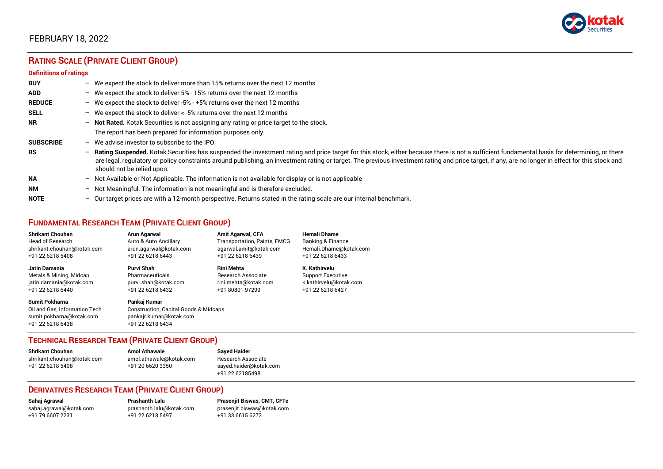

# **RATING SCALE (PRIVATE CLIENT GROUP)**

#### **Definitions of ratings**

| <b>BUY</b>       |                          | - We expect the stock to deliver more than 15% returns over the next 12 months                                                                                                                                                                                                                                                                                                                                                     |
|------------------|--------------------------|------------------------------------------------------------------------------------------------------------------------------------------------------------------------------------------------------------------------------------------------------------------------------------------------------------------------------------------------------------------------------------------------------------------------------------|
| <b>ADD</b>       |                          | - We expect the stock to deliver 5% - 15% returns over the next 12 months                                                                                                                                                                                                                                                                                                                                                          |
| <b>REDUCE</b>    |                          | - We expect the stock to deliver -5% - +5% returns over the next 12 months                                                                                                                                                                                                                                                                                                                                                         |
| <b>SELL</b>      |                          | - We expect the stock to deliver $\lt$ -5% returns over the next 12 months                                                                                                                                                                                                                                                                                                                                                         |
| <b>NR</b>        |                          | - Not Rated. Kotak Securities is not assigning any rating or price target to the stock.                                                                                                                                                                                                                                                                                                                                            |
|                  |                          | The report has been prepared for information purposes only.                                                                                                                                                                                                                                                                                                                                                                        |
| <b>SUBSCRIBE</b> |                          | $-$ We advise investor to subscribe to the IPO.                                                                                                                                                                                                                                                                                                                                                                                    |
| <b>RS</b>        |                          | - Rating Suspended. Kotak Securities has suspended the investment rating and price target for this stock, either because there is not a sufficient fundamental basis for determining, or there<br>are legal, regulatory or policy constraints around publishing, an investment rating or target. The previous investment rating and price target, if any, are no longer in effect for this stock and<br>should not be relied upon. |
| <b>NA</b>        |                          | $-$ Not Available or Not Applicable. The information is not available for display or is not applicable                                                                                                                                                                                                                                                                                                                             |
| <b>NM</b>        |                          | - Not Meaningful. The information is not meaningful and is therefore excluded.                                                                                                                                                                                                                                                                                                                                                     |
| <b>NOTE</b>      | $\overline{\phantom{0}}$ | Our target prices are with a 12-month perspective. Returns stated in the rating scale are our internal benchmark.                                                                                                                                                                                                                                                                                                                  |

# **FUNDAMENTAL RESEARCH TEAM (PRIVATE CLIENT GROUP)**

| <b>Shrikant Chouhan</b>                                                                                | Arun Agarwal                                                                                                    | <b>Amit Agarwal, CFA</b>            | <b>Hemali Dhame</b>      |
|--------------------------------------------------------------------------------------------------------|-----------------------------------------------------------------------------------------------------------------|-------------------------------------|--------------------------|
| <b>Head of Research</b>                                                                                | Auto & Auto Ancillary                                                                                           | <b>Transportation, Paints, FMCG</b> | Banking & Finance        |
| shrikant.chouhan@kotak.com                                                                             | arun.agarwal@kotak.com                                                                                          | agarwal.amit@kotak.com              | Hemali.Dhame@kotak.com   |
| +91 22 6218 5408                                                                                       | +91 22 6218 6443                                                                                                | +91 22 6218 6439                    | +91 22 6218 6433         |
| Jatin Damania                                                                                          | Purvi Shah                                                                                                      | <b>Rini Mehta</b>                   | K. Kathirvelu            |
| Metals & Mining, Midcap                                                                                | Pharmaceuticals                                                                                                 | <b>Research Associate</b>           | <b>Support Executive</b> |
| jatin.damania@kotak.com                                                                                | purvi.shah@kotak.com                                                                                            | rini.mehta@kotak.com                | k.kathirvelu@kotak.com   |
| +91 22 6218 6440                                                                                       | +91 22 6218 6432                                                                                                | +91 80801 97299                     | +91 22 6218 6427         |
| <b>Sumit Pokharna</b><br>Oil and Gas. Information Tech<br>sumit.pokharna@kotak.com<br>+91 22 6218 6438 | Pankaj Kumar<br><b>Construction, Capital Goods &amp; Midcaps</b><br>pankajr.kumar@kotak.com<br>+91 22 6218 6434 |                                     |                          |

#### **TECHNICAL RESEARCH TEAM (PRIVATE CLIENT GROUP)**

| <b>Shrikant Chouhan</b>    | <b>Amol Athawale</b>    |  |
|----------------------------|-------------------------|--|
| shrikant.chouhan@kotak.com | amol.athawale@kotak.com |  |
| +91 22 6218 5408           | +91 20 6620 3350        |  |
|                            |                         |  |

**Sayed Haider** Research Associate [sayed.haider@kotak.com](mailto:sayed.haider@kotak.com) +91 22 62185498

#### **DERIVATIVES RESEARCH TEAM (PRIVATE CLIENT GROUP)**

+91 22 6218 5497 +91 33 6615 6273

**Sahaj Agrawal Prashanth Lalu Prasenjit Biswas, CMT, CFTe** [sahaj.agrawal@kotak.com](mailto:sahaj.agrawal@kotak.com) [prashanth.lalu@kotak.com](mailto:prashanth.lalu@kotak.com) [prasenjit.biswas@kotak.com](mailto:prasenjit.biswas@kotak.com)